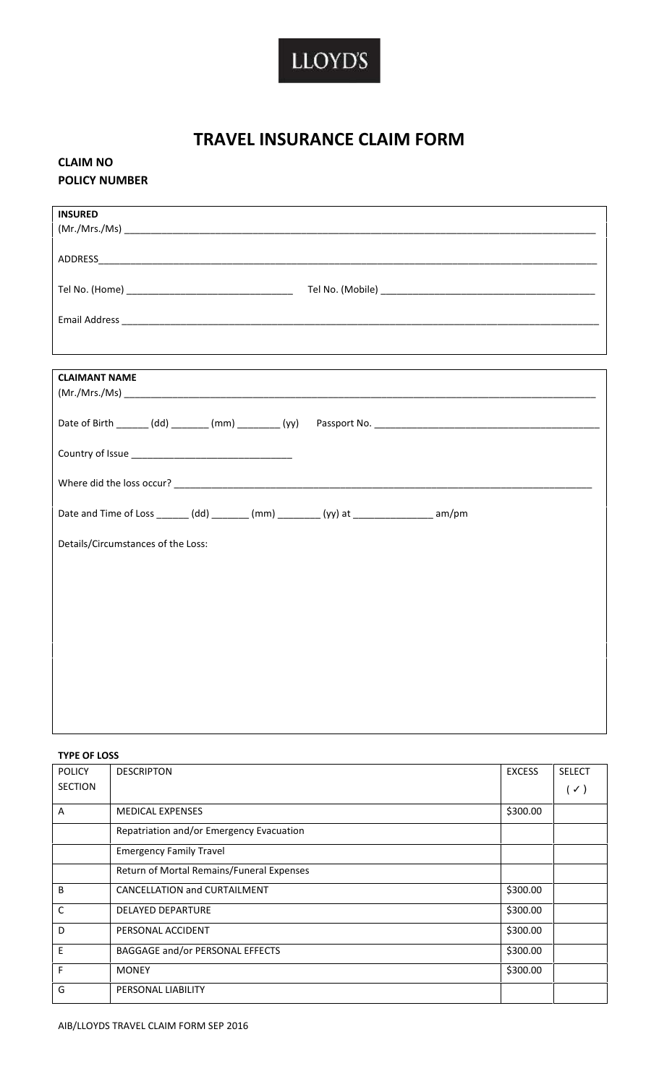

## **TRAVEL INSURANCE CLAIM FORM**

### **CLAIM NO POLICY NUMBER**

| <b>INSURED</b>                                                                         |
|----------------------------------------------------------------------------------------|
|                                                                                        |
|                                                                                        |
|                                                                                        |
|                                                                                        |
|                                                                                        |
| <b>CLAIMANT NAME</b>                                                                   |
|                                                                                        |
| Date of Birth ______ (dd) _______ (mm) _______ (yy)                                    |
|                                                                                        |
|                                                                                        |
| Date and Time of Loss _______ (dd) _______ (mm) ________ (yy) at _______________ am/pm |
| Details/Circumstances of the Loss:                                                     |
|                                                                                        |
|                                                                                        |
|                                                                                        |
|                                                                                        |
|                                                                                        |

#### **TYPE OF LOSS**

| <b>POLICY</b>  | <b>DESCRIPTON</b>                         | <b>EXCESS</b> | <b>SELECT</b> |
|----------------|-------------------------------------------|---------------|---------------|
| <b>SECTION</b> |                                           |               |               |
| $\overline{A}$ | <b>MEDICAL EXPENSES</b>                   | \$300.00      |               |
|                | Repatriation and/or Emergency Evacuation  |               |               |
|                | <b>Emergency Family Travel</b>            |               |               |
|                | Return of Mortal Remains/Funeral Expenses |               |               |
| B              | <b>CANCELLATION and CURTAILMENT</b>       | \$300.00      |               |
| C              | <b>DELAYED DEPARTURE</b>                  | \$300.00      |               |
| D              | PERSONAL ACCIDENT                         | \$300.00      |               |
| Ε              | BAGGAGE and/or PERSONAL EFFECTS           | \$300.00      |               |
| F              | <b>MONEY</b>                              | \$300.00      |               |
| G              | PERSONAL LIABILITY                        |               |               |